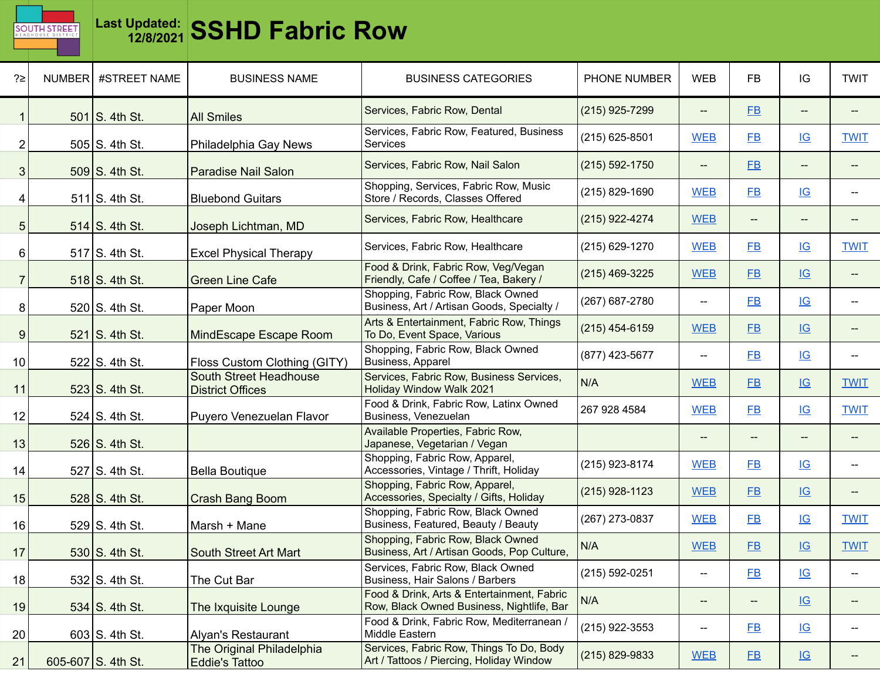

| ?≥             | NUMBER #STREET NAME | <b>BUSINESS NAME</b>                               | <b>BUSINESS CATEGORIES</b>                                                              | PHONE NUMBER       | <b>WEB</b>                                          | <b>FB</b> | IG                        | <b>TWIT</b> |
|----------------|---------------------|----------------------------------------------------|-----------------------------------------------------------------------------------------|--------------------|-----------------------------------------------------|-----------|---------------------------|-------------|
|                | $501$ S. 4th St.    | <b>All Smiles</b>                                  | Services, Fabric Row, Dental                                                            | (215) 925-7299     | $\hspace{0.05cm} -\hspace{0.05cm} -\hspace{0.05cm}$ | $E$ B     | --                        |             |
| 2              | $505$ S. 4th St.    | Philadelphia Gay News                              | Services, Fabric Row, Featured, Business<br><b>Services</b>                             | (215) 625-8501     | <b>WEB</b>                                          | $E$ B     | $\underline{\mathsf{IG}}$ | <b>TWIT</b> |
| 3              | 509 S. 4th St.      | <b>Paradise Nail Salon</b>                         | Services, Fabric Row, Nail Salon                                                        | $(215) 592 - 1750$ | $\overline{\phantom{a}}$                            | <b>FB</b> | --                        |             |
| 4              | $511$ S. 4th St.    | <b>Bluebond Guitars</b>                            | Shopping, Services, Fabric Row, Music<br>Store / Records, Classes Offered               | (215) 829-1690     | <b>WEB</b>                                          | <b>FB</b> | IG                        |             |
| 5 <sub>1</sub> | $514$ S. 4th St.    | Joseph Lichtman, MD                                | Services, Fabric Row, Healthcare                                                        | (215) 922-4274     | <b>WEB</b>                                          | --        | $--$                      |             |
| 6              | $517$ S. 4th St.    | <b>Excel Physical Therapy</b>                      | Services, Fabric Row, Healthcare                                                        | (215) 629-1270     | <b>WEB</b>                                          | <b>FB</b> | IG                        | <b>TWIT</b> |
| $\overline{7}$ | 518 S. 4th St.      | <b>Green Line Cafe</b>                             | Food & Drink, Fabric Row, Veg/Vegan<br>Friendly, Cafe / Coffee / Tea, Bakery /          | (215) 469-3225     | <b>WEB</b>                                          | FB        | IG                        |             |
| 8              | 520 S. 4th St.      | Paper Moon                                         | Shopping, Fabric Row, Black Owned<br>Business, Art / Artisan Goods, Specialty /         | (267) 687-2780     | $\overline{\phantom{a}}$                            | $E$ B     | IG                        |             |
| 9              | $521$ S. 4th St.    | MindEscape Escape Room                             | Arts & Entertainment, Fabric Row, Things<br>To Do, Event Space, Various                 | (215) 454-6159     | <b>WEB</b>                                          | <b>FB</b> | IG                        |             |
| 10             | 522 S. 4th St.      | Floss Custom Clothing (GITY)                       | Shopping, Fabric Row, Black Owned<br>Business, Apparel                                  | (877) 423-5677     | $\overline{\phantom{a}}$                            | FB        | IG                        |             |
| 11             | $523$ S. 4th St.    | South Street Headhouse<br><b>District Offices</b>  | Services, Fabric Row, Business Services,<br>Holiday Window Walk 2021                    | N/A                | <b>WEB</b>                                          | <b>FB</b> | IG                        | <b>TWIT</b> |
| 12             | $524$ S. 4th St.    | Puyero Venezuelan Flavor                           | Food & Drink, Fabric Row, Latinx Owned<br>Business, Venezuelan                          | 267 928 4584       | <b>WEB</b>                                          | <b>FB</b> | IG                        | <b>TWIT</b> |
| 13             | 526 S. 4th St.      |                                                    | Available Properties, Fabric Row,<br>Japanese, Vegetarian / Vegan                       |                    | $\qquad \qquad -$                                   | --        | --                        |             |
| 14             | $527$ S. 4th St.    | <b>Bella Boutique</b>                              | Shopping, Fabric Row, Apparel,<br>Accessories, Vintage / Thrift, Holiday                | (215) 923-8174     | <b>WEB</b>                                          | $E$ B     | IG                        |             |
| 15             | 528 S. 4th St.      | Crash Bang Boom                                    | Shopping, Fabric Row, Apparel,<br>Accessories, Specialty / Gifts, Holiday               | (215) 928-1123     | <b>WEB</b>                                          | FB        | IG                        |             |
| 16             | 529 S. 4th St.      | Marsh + Mane                                       | Shopping, Fabric Row, Black Owned<br>Business, Featured, Beauty / Beauty                | (267) 273-0837     | <b>WEB</b>                                          | $E$ B     | IG                        | <b>TWIT</b> |
| 17             | 530 S. 4th St.      | South Street Art Mart                              | Shopping, Fabric Row, Black Owned<br>Business, Art / Artisan Goods, Pop Culture,        | N/A                | <b>WEB</b>                                          | $E$ B     | IG                        | <b>TWIT</b> |
| 18             | $532$ S. 4th St.    | The Cut Bar                                        | Services, Fabric Row, Black Owned<br>Business, Hair Salons / Barbers                    | (215) 592-0251     | $\hspace{0.05cm}$ – $\hspace{0.05cm}$               | $E$ B     | $\underline{\mathsf{IG}}$ |             |
| 19             | $534$ S. 4th St.    | The Ixquisite Lounge                               | Food & Drink, Arts & Entertainment, Fabric<br>Row, Black Owned Business, Nightlife, Bar | N/A                | $-\!$                                               | --        | $\underline{\mathsf{IG}}$ |             |
| 20             | $603$ S. 4th St.    | Alyan's Restaurant                                 | Food & Drink, Fabric Row, Mediterranean /<br>Middle Eastern                             | (215) 922-3553     | $\hspace{0.05cm} \dashv$                            | $E$ B     | $\underline{\mathsf{IG}}$ |             |
| 21             | 605-607 S. 4th St.  | The Original Philadelphia<br><b>Eddie's Tattoo</b> | Services, Fabric Row, Things To Do, Body<br>Art / Tattoos / Piercing, Holiday Window    | (215) 829-9833     | <b>WEB</b>                                          | E         | IG                        |             |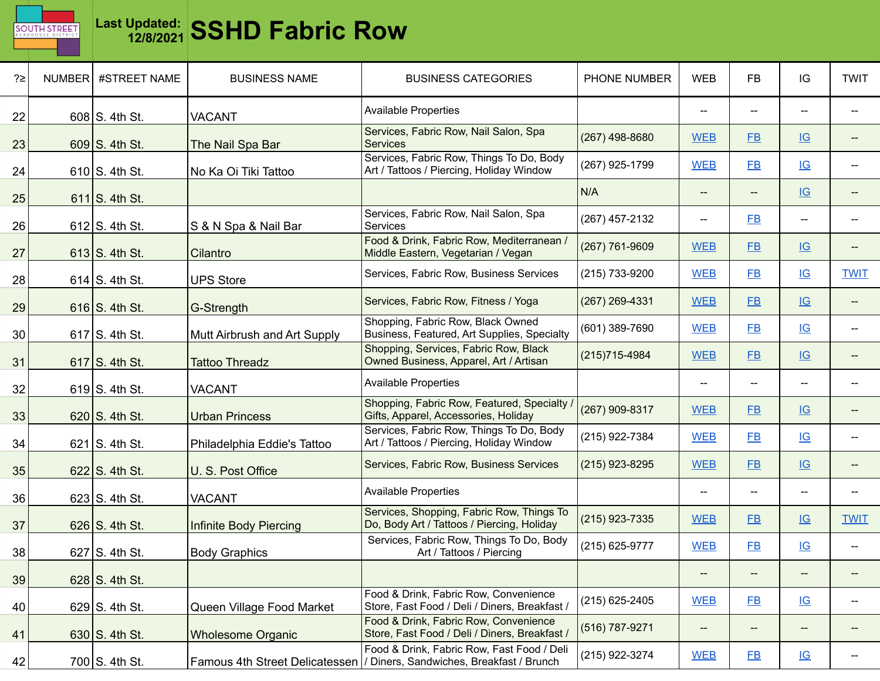

| ?≥ | NUMBER | #STREET NAME     | <b>BUSINESS NAME</b>          | <b>BUSINESS CATEGORIES</b>                                                                                             | PHONE NUMBER   | <b>WEB</b>                                          | <b>FB</b>      | IG                        | <b>TWIT</b>                         |
|----|--------|------------------|-------------------------------|------------------------------------------------------------------------------------------------------------------------|----------------|-----------------------------------------------------|----------------|---------------------------|-------------------------------------|
| 22 |        | $608$ S. 4th St. | <b>VACANT</b>                 | <b>Available Properties</b>                                                                                            |                | $\hspace{0.05cm} -\hspace{0.05cm} -\hspace{0.05cm}$ | --             | $\overline{\phantom{a}}$  |                                     |
| 23 |        | 609 S. 4th St.   | The Nail Spa Bar              | Services, Fabric Row, Nail Salon, Spa<br><b>Services</b>                                                               | (267) 498-8680 | <b>WEB</b>                                          | $E$ B          | IG                        |                                     |
| 24 |        | $610$ S. 4th St. | No Ka Oi Tiki Tattoo          | Services, Fabric Row, Things To Do, Body<br>Art / Tattoos / Piercing, Holiday Window                                   | (267) 925-1799 | <b>WEB</b>                                          | <b>FB</b>      | IG                        |                                     |
| 25 |        | $611$ S. 4th St. |                               |                                                                                                                        | N/A            | $\overline{\phantom{a}}$                            | --             | IG                        |                                     |
| 26 |        | $612$ S. 4th St. | S & N Spa & Nail Bar          | Services, Fabric Row, Nail Salon, Spa<br>Services                                                                      | (267) 457-2132 | $\overline{\phantom{a}}$                            | F <sub>B</sub> | $\hspace{0.05cm} \dashv$  |                                     |
| 27 |        | $613$ S. 4th St. | Cilantro                      | Food & Drink, Fabric Row, Mediterranean /<br>Middle Eastern, Vegetarian / Vegan                                        | (267) 761-9609 | <b>WEB</b>                                          | FB             | IG                        |                                     |
| 28 |        | $614$ S. 4th St. | <b>UPS Store</b>              | Services, Fabric Row, Business Services                                                                                | (215) 733-9200 | <b>WEB</b>                                          | FB             | IG                        | <b>TWIT</b>                         |
| 29 |        | $616$ S. 4th St. | G-Strength                    | Services, Fabric Row, Fitness / Yoga                                                                                   | (267) 269-4331 | <b>WEB</b>                                          | $E$ B          | IG                        | $\hspace{0.05cm}$ $\hspace{0.05cm}$ |
| 30 |        | $617$ S. 4th St. | Mutt Airbrush and Art Supply  | Shopping, Fabric Row, Black Owned<br>Business, Featured, Art Supplies, Specialty                                       | (601) 389-7690 | <b>WEB</b>                                          | $E$ B          | IG                        |                                     |
| 31 |        | $617$ S. 4th St. | <b>Tattoo Threadz</b>         | Shopping, Services, Fabric Row, Black<br>Owned Business, Apparel, Art / Artisan                                        | (215) 715-4984 | <b>WEB</b>                                          | $E$ B          | IG                        |                                     |
| 32 |        | $619$ S. 4th St. | <b>VACANT</b>                 | <b>Available Properties</b>                                                                                            |                | $\overline{\phantom{a}}$                            | --             | --                        |                                     |
| 33 |        | $620$ S. 4th St. | <b>Urban Princess</b>         | Shopping, Fabric Row, Featured, Specialty /<br>Gifts, Apparel, Accessories, Holiday                                    | (267) 909-8317 | <b>WEB</b>                                          | <b>FB</b>      | IG                        | --                                  |
| 34 |        | $621$ S. 4th St. | Philadelphia Eddie's Tattoo   | Services, Fabric Row, Things To Do, Body<br>Art / Tattoos / Piercing, Holiday Window                                   | (215) 922-7384 | <b>WEB</b>                                          | FB             | IG                        | $\overline{\phantom{a}}$            |
| 35 |        | $622$ S. 4th St. | U. S. Post Office             | Services, Fabric Row, Business Services                                                                                | (215) 923-8295 | <b>WEB</b>                                          | $E$ B          | $\underline{\mathsf{IG}}$ |                                     |
| 36 |        | $623$ S. 4th St. | <b>VACANT</b>                 | <b>Available Properties</b>                                                                                            |                | $\hspace{0.05cm}$ $\hspace{0.05cm}$                 | --             | --                        |                                     |
| 37 |        | $626$ S. 4th St. | <b>Infinite Body Piercing</b> | Services, Shopping, Fabric Row, Things To<br>Do, Body Art / Tattoos / Piercing, Holiday                                | (215) 923-7335 | <b>WEB</b>                                          | $E$ B          | $\underline{\mathsf{IG}}$ | <b>TWIT</b>                         |
| 38 |        | $627$ S. 4th St. | <b>Body Graphics</b>          | Services, Fabric Row, Things To Do, Body<br>Art / Tattoos / Piercing                                                   | (215) 625-9777 | <b>WEB</b>                                          | $E$ B          | $\underline{\mathsf{IG}}$ |                                     |
| 39 |        | $628$ S. 4th St. |                               |                                                                                                                        |                | $\hspace{0.05cm} \dashv$                            | --             | --                        |                                     |
| 40 |        | $629$ S. 4th St. | Queen Village Food Market     | Food & Drink, Fabric Row, Convenience<br>Store, Fast Food / Deli / Diners, Breakfast /                                 | (215) 625-2405 | <b>WEB</b>                                          | $E$ B          | $\underline{\mathsf{IG}}$ | $\overline{\phantom{a}}$            |
| 41 |        | 630 $S.$ 4th St. | <b>Wholesome Organic</b>      | Food & Drink, Fabric Row, Convenience<br>Store, Fast Food / Deli / Diners, Breakfast /                                 | (516) 787-9271 | $\overline{\phantom{a}}$                            | --             | --                        |                                     |
| 42 |        | 700 S. 4th St.   |                               | Food & Drink, Fabric Row, Fast Food / Deli<br>Famous 4th Street Delicatessen  / Diners, Sandwiches, Breakfast / Brunch | (215) 922-3274 | <b>WEB</b>                                          | $E$ B          | $\underline{\mathsf{IG}}$ |                                     |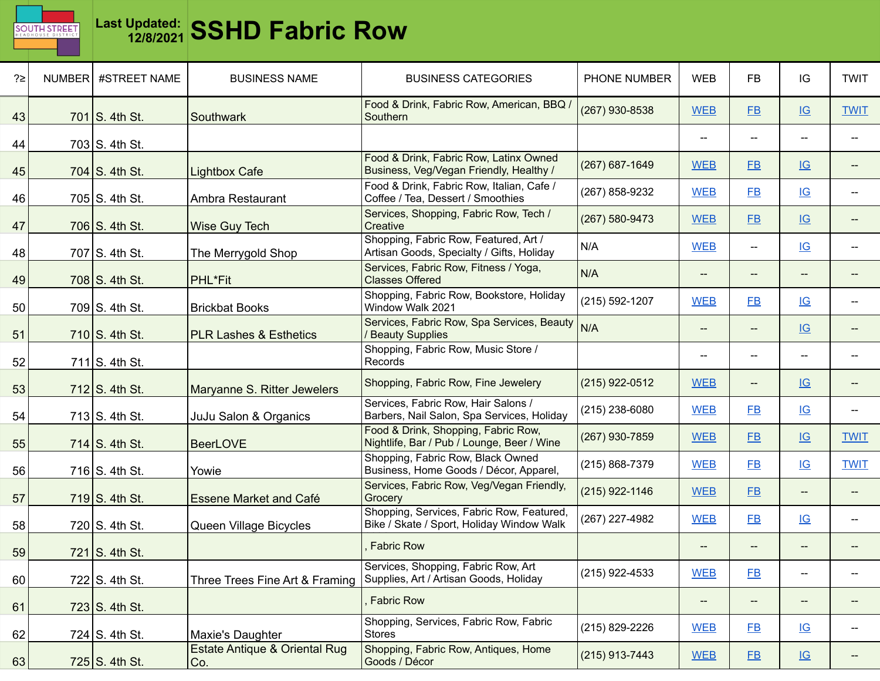

| ?≥ | NUMBER | #STREET NAME     | <b>BUSINESS NAME</b>                 | <b>BUSINESS CATEGORIES</b>                                                             | PHONE NUMBER   | <b>WEB</b>                                          | <b>FB</b>      | IG                                                  | <b>TWIT</b>                         |
|----|--------|------------------|--------------------------------------|----------------------------------------------------------------------------------------|----------------|-----------------------------------------------------|----------------|-----------------------------------------------------|-------------------------------------|
| 43 |        | 701 S. 4th St.   | Southwark                            | Food & Drink, Fabric Row, American, BBQ /<br>Southern                                  | (267) 930-8538 | <b>WEB</b>                                          | $E$ B          | IG                                                  | <b>TWIT</b>                         |
| 44 |        | 703 S. 4th St.   |                                      |                                                                                        |                |                                                     | $-$            | $\overline{\phantom{a}}$                            |                                     |
| 45 |        | 704 S. 4th St.   | <b>Lightbox Cafe</b>                 | Food & Drink, Fabric Row, Latinx Owned<br>Business, Veg/Vegan Friendly, Healthy /      | (267) 687-1649 | <b>WEB</b>                                          | <b>FB</b>      | IG                                                  |                                     |
| 46 |        | 705 S. 4th St.   | Ambra Restaurant                     | Food & Drink, Fabric Row, Italian, Cafe /<br>Coffee / Tea, Dessert / Smoothies         | (267) 858-9232 | <b>WEB</b>                                          | <b>FB</b>      | IG                                                  |                                     |
| 47 |        | $706$ S. 4th St. | Wise Guy Tech                        | Services, Shopping, Fabric Row, Tech /<br>Creative                                     | (267) 580-9473 | <b>WEB</b>                                          | $E$ B          | IG                                                  |                                     |
| 48 |        | 707 $S.$ 4th St. | The Merrygold Shop                   | Shopping, Fabric Row, Featured, Art /<br>Artisan Goods, Specialty / Gifts, Holiday     | N/A            | <b>WEB</b>                                          | $- -$          | IG                                                  |                                     |
| 49 |        | $708$ S. 4th St. | PHL*Fit                              | Services, Fabric Row, Fitness / Yoga,<br><b>Classes Offered</b>                        | N/A            | $\hspace{0.05cm} -\hspace{0.05cm} -\hspace{0.05cm}$ | --             | $\hspace{0.05cm} -\hspace{0.05cm} -\hspace{0.05cm}$ |                                     |
| 50 |        | $709$ S. 4th St. | <b>Brickbat Books</b>                | Shopping, Fabric Row, Bookstore, Holiday<br>Window Walk 2021                           | (215) 592-1207 | <b>WEB</b>                                          | F <sub>B</sub> | IG                                                  |                                     |
| 51 |        | 710 S. 4th St.   | <b>PLR Lashes &amp; Esthetics</b>    | Services, Fabric Row, Spa Services, Beauty<br><b>Beauty Supplies</b>                   | N/A            | $\overline{\phantom{a}}$                            | --             | IG                                                  |                                     |
| 52 |        | $711$ S. 4th St. |                                      | Shopping, Fabric Row, Music Store /<br>Records                                         |                | $-$                                                 | --             | $\hspace{0.05cm} -\hspace{0.05cm} -\hspace{0.05cm}$ |                                     |
| 53 |        | $712$ S. 4th St. | Maryanne S. Ritter Jewelers          | Shopping, Fabric Row, Fine Jewelery                                                    | (215) 922-0512 | <b>WEB</b>                                          | $- -$          | IG                                                  |                                     |
| 54 |        | $713$ S. 4th St. | JuJu Salon & Organics                | Services, Fabric Row, Hair Salons /<br>Barbers, Nail Salon, Spa Services, Holiday      | (215) 238-6080 | <b>WEB</b>                                          | <b>FB</b>      | IG                                                  |                                     |
| 55 |        | 714 $S.$ 4th St. | <b>BeerLOVE</b>                      | Food & Drink, Shopping, Fabric Row,<br>Nightlife, Bar / Pub / Lounge, Beer / Wine      | (267) 930-7859 | <b>WEB</b>                                          | FB             | $\underline{\mathsf{IG}}$                           | <b>TWIT</b>                         |
| 56 |        | $716$ S. 4th St. | Yowie                                | Shopping, Fabric Row, Black Owned<br>Business, Home Goods / Décor, Apparel,            | (215) 868-7379 | <b>WEB</b>                                          | $E$ B          | IG                                                  | <b>TWIT</b>                         |
| 57 |        | $719$ S. 4th St. | <b>Essene Market and Café</b>        | Services, Fabric Row, Veg/Vegan Friendly,<br>Grocery                                   | (215) 922-1146 | <b>WEB</b>                                          | <b>FB</b>      | $\hspace{0.05cm} -\hspace{0.05cm} -\hspace{0.05cm}$ |                                     |
| 58 |        | $720$ S. 4th St. | Queen Village Bicycles               | Shopping, Services, Fabric Row, Featured,<br>Bike / Skate / Sport, Holiday Window Walk | (267) 227-4982 | <b>WEB</b>                                          | $E$ B          | IG                                                  |                                     |
| 59 |        | $721$ S. 4th St. |                                      | <b>Fabric Row</b>                                                                      |                |                                                     |                |                                                     |                                     |
| 60 |        | $722$ S. 4th St. | Three Trees Fine Art & Framing       | Services, Shopping, Fabric Row, Art<br>Supplies, Art / Artisan Goods, Holiday          | (215) 922-4533 | <b>WEB</b>                                          | $E$ B          | $\hspace{0.05cm} \dashv$                            |                                     |
| 61 |        | 723 S. 4th St.   |                                      | <b>Fabric Row</b>                                                                      |                | $-\!$                                               | ÷              | $-\!$                                               |                                     |
| 62 |        | $724$ S. 4th St. | Maxie's Daughter                     | Shopping, Services, Fabric Row, Fabric<br><b>Stores</b>                                | (215) 829-2226 | <b>WEB</b>                                          | $E$ B          | IG                                                  | $\hspace{0.05cm}$ $\hspace{0.05cm}$ |
| 63 |        | $725$ S. 4th St. | Estate Antique & Oriental Rug<br>Co. | Shopping, Fabric Row, Antiques, Home<br>Goods / Décor                                  | (215) 913-7443 | <b>WEB</b>                                          | E              | $\underline{\mathsf{IG}}$                           |                                     |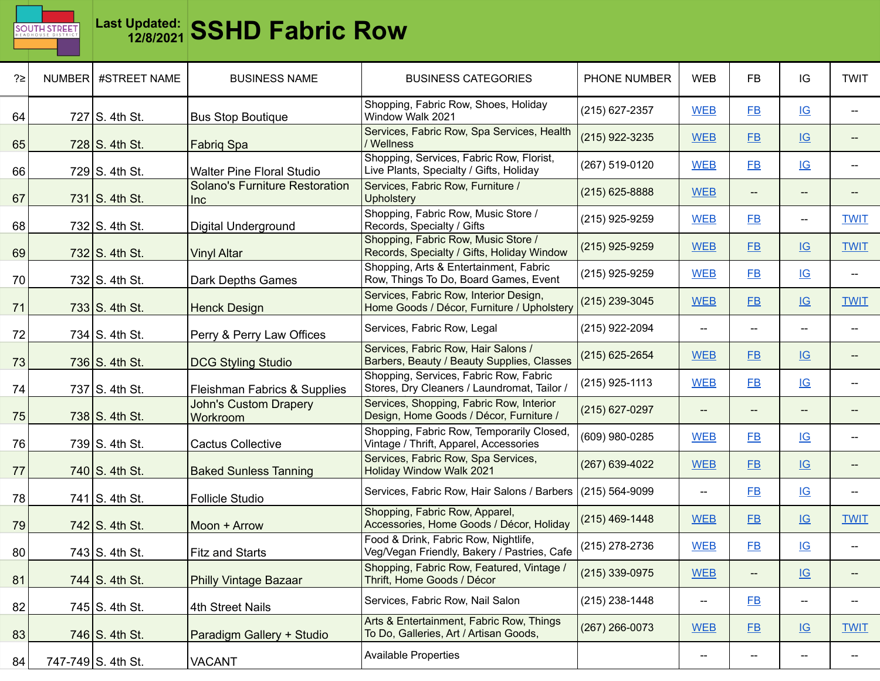

| ?≥ | NUMBER #STREET NAME    | <b>BUSINESS NAME</b>                         | <b>BUSINESS CATEGORIES</b>                                                            | PHONE NUMBER     | <b>WEB</b>               | <b>FB</b>      | IG                                                  | <b>TWIT</b>              |
|----|------------------------|----------------------------------------------|---------------------------------------------------------------------------------------|------------------|--------------------------|----------------|-----------------------------------------------------|--------------------------|
| 64 | 727 S. 4th St.         | <b>Bus Stop Boutique</b>                     | Shopping, Fabric Row, Shoes, Holiday<br>Window Walk 2021                              | (215) 627-2357   | <b>WEB</b>               | $E$ B          | IG                                                  |                          |
| 65 | 728 S. 4th St.         | Fabriq Spa                                   | Services, Fabric Row, Spa Services, Health<br>Wellness                                | (215) 922-3235   | <b>WEB</b>               | $E$ B          | IG                                                  |                          |
| 66 | 729 S. 4th St.         | <b>Walter Pine Floral Studio</b>             | Shopping, Services, Fabric Row, Florist,<br>Live Plants, Specialty / Gifts, Holiday   | (267) 519-0120   | <b>WEB</b>               | FB             | IG                                                  |                          |
| 67 | $731$ S. 4th St.       | <b>Solano's Furniture Restoration</b><br>Inc | Services, Fabric Row, Furniture /<br><b>Upholstery</b>                                | $(215)$ 625-8888 | <b>WEB</b>               | --             | $\hspace{0.05cm} -\hspace{0.05cm} -\hspace{0.05cm}$ |                          |
| 68 | $732$ S. 4th St.       | Digital Underground                          | Shopping, Fabric Row, Music Store /<br>Records, Specialty / Gifts                     | (215) 925-9259   | <b>WEB</b>               | <b>FB</b>      | $\overline{\phantom{a}}$                            | <b>TWIT</b>              |
| 69 | $732$ S. 4th St.       | <b>Vinyl Altar</b>                           | Shopping, Fabric Row, Music Store /<br>Records, Specialty / Gifts, Holiday Window     | (215) 925-9259   | <b>WEB</b>               | FB             | IG                                                  | <b>TWIT</b>              |
| 70 | 732 S. 4th St.         | Dark Depths Games                            | Shopping, Arts & Entertainment, Fabric<br>Row, Things To Do, Board Games, Event       | (215) 925-9259   | <b>WEB</b>               | FB             | IG                                                  |                          |
| 71 | $733$ S. 4th St.       | <b>Henck Design</b>                          | Services, Fabric Row, Interior Design,<br>Home Goods / Décor, Furniture / Upholstery  | (215) 239-3045   | <b>WEB</b>               | <b>FB</b>      | IG                                                  | <b>TWIT</b>              |
| 72 | 734 $S.$ 4th St.       | Perry & Perry Law Offices                    | Services, Fabric Row, Legal                                                           | (215) 922-2094   | $\overline{\phantom{a}}$ | --             | --                                                  |                          |
| 73 | 736 $S.$ 4th St.       | <b>DCG Styling Studio</b>                    | Services, Fabric Row, Hair Salons /<br>Barbers, Beauty / Beauty Supplies, Classes     | (215) 625-2654   | <b>WEB</b>               | <b>FB</b>      | IG                                                  |                          |
| 74 | $737$ S. 4th St.       | Fleishman Fabrics & Supplies                 | Shopping, Services, Fabric Row, Fabric<br>Stores, Dry Cleaners / Laundromat, Tailor / | (215) 925-1113   | <b>WEB</b>               | <b>FB</b>      | IG                                                  |                          |
| 75 | 738 S. 4th St.         | <b>John's Custom Drapery</b><br>Workroom     | Services, Shopping, Fabric Row, Interior<br>Design, Home Goods / Décor, Furniture /   | (215) 627-0297   | $\overline{\phantom{a}}$ | --             | --                                                  |                          |
| 76 | 739 S. 4th St.         | <b>Cactus Collective</b>                     | Shopping, Fabric Row, Temporarily Closed,<br>Vintage / Thrift, Apparel, Accessories   | (609) 980-0285   | <b>WEB</b>               | FB             | IG                                                  |                          |
| 77 | 740 S. 4th St.         | <b>Baked Sunless Tanning</b>                 | Services, Fabric Row, Spa Services,<br>Holiday Window Walk 2021                       | (267) 639-4022   | <b>WEB</b>               | $E$ B          | IG                                                  |                          |
| 78 | 741 $\vert$ S. 4th St. | <b>Follicle Studio</b>                       | Services, Fabric Row, Hair Salons / Barbers                                           | (215) 564-9099   | $-$                      | F <sub>B</sub> | IG                                                  | $\overline{\phantom{a}}$ |
| 79 | 742 $\vert$ S. 4th St. | Moon + Arrow                                 | Shopping, Fabric Row, Apparel,<br>Accessories, Home Goods / Décor, Holiday            | (215) 469-1448   | <b>WEB</b>               | <b>FB</b>      | IG                                                  | <b>TWIT</b>              |
| 80 | 743 S. 4th St.         | <b>Fitz and Starts</b>                       | Food & Drink, Fabric Row, Nightlife,<br>Veg/Vegan Friendly, Bakery / Pastries, Cafe   | (215) 278-2736   | <b>WEB</b>               | $E$ B          | IG                                                  |                          |
| 81 | 744 S. 4th St.         | <b>Philly Vintage Bazaar</b>                 | Shopping, Fabric Row, Featured, Vintage /<br>Thrift, Home Goods / Décor               | (215) 339-0975   | <b>WEB</b>               | $-\!$          | $\underline{\mathsf{IG}}$                           | --                       |
| 82 | 745 S. 4th St.         | 4th Street Nails                             | Services, Fabric Row, Nail Salon                                                      | (215) 238-1448   | $- -$                    | E              | $\overline{\phantom{a}}$                            |                          |
| 83 | 746 S. 4th St.         | Paradigm Gallery + Studio                    | Arts & Entertainment, Fabric Row, Things<br>To Do, Galleries, Art / Artisan Goods,    | (267) 266-0073   | <b>WEB</b>               | E              | IG                                                  | <b>TWIT</b>              |
| 84 | 747-749 S. 4th St.     | <b>VACANT</b>                                | <b>Available Properties</b>                                                           |                  | $\hspace{0.05cm} \dashv$ | --             | $\hspace{0.05cm} \dashv$                            |                          |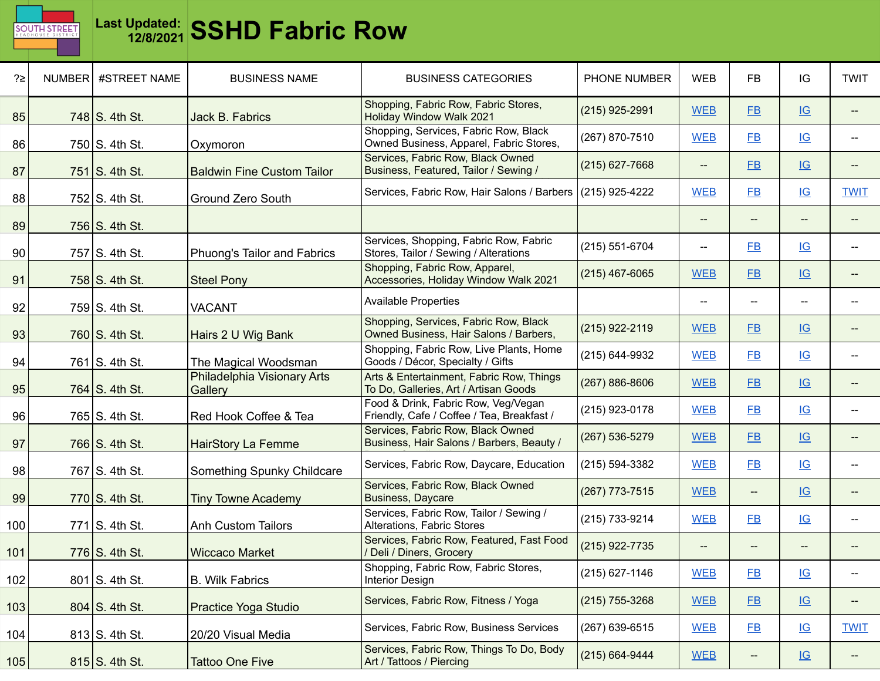

| ?≥  | NUMBER #STREET NAME | <b>BUSINESS NAME</b>                   | <b>BUSINESS CATEGORIES</b>                                                        | PHONE NUMBER     | <b>WEB</b>               | <b>FB</b>                                           | IG                        | <b>TWIT</b>              |
|-----|---------------------|----------------------------------------|-----------------------------------------------------------------------------------|------------------|--------------------------|-----------------------------------------------------|---------------------------|--------------------------|
| 85  | 748 S. 4th St.      | Jack B. Fabrics                        | Shopping, Fabric Row, Fabric Stores,<br>Holiday Window Walk 2021                  | (215) 925-2991   | <b>WEB</b>               | FB                                                  | $\underline{\mathsf{IG}}$ | --                       |
| 86  | 750 S. 4th St.      | Oxymoron                               | Shopping, Services, Fabric Row, Black<br>Owned Business, Apparel, Fabric Stores,  | (267) 870-7510   | <b>WEB</b>               | <b>FB</b>                                           | IG                        | $\overline{\phantom{a}}$ |
| 87  | 751 S. 4th St.      | <b>Baldwin Fine Custom Tailor</b>      | Services, Fabric Row, Black Owned<br>Business, Featured, Tailor / Sewing /        | $(215)$ 627-7668 | $-\!$                    | FB                                                  | $\underline{\mathsf{IG}}$ | --                       |
| 88  | 752 S. 4th St.      | <b>Ground Zero South</b>               | Services, Fabric Row, Hair Salons / Barbers                                       | (215) 925-4222   | <b>WEB</b>               | FB                                                  | $\underline{\mathsf{IG}}$ | <b>TWIT</b>              |
| 89  | 756 $S.$ 4th St.    |                                        |                                                                                   |                  | $\qquad \qquad -$        |                                                     | $\overline{\phantom{a}}$  |                          |
| 90  | 757 S. 4th St.      | Phuong's Tailor and Fabrics            | Services, Shopping, Fabric Row, Fabric<br>Stores, Tailor / Sewing / Alterations   | (215) 551-6704   | --                       | <b>FB</b>                                           | IG                        | $\overline{\phantom{a}}$ |
| 91  | 758 S. 4th St.      | <b>Steel Pony</b>                      | Shopping, Fabric Row, Apparel,<br>Accessories, Holiday Window Walk 2021           | $(215)$ 467-6065 | <b>WEB</b>               | <b>FB</b>                                           | IG                        | --                       |
| 92  | 759 S. 4th St.      | <b>VACANT</b>                          | <b>Available Properties</b>                                                       |                  | $\overline{\phantom{a}}$ | $\hspace{0.05cm} -\hspace{0.05cm} -\hspace{0.05cm}$ | $\overline{\phantom{a}}$  | --                       |
| 93  | 760 S. 4th St.      | Hairs 2 U Wig Bank                     | Shopping, Services, Fabric Row, Black<br>Owned Business, Hair Salons / Barbers,   | (215) 922-2119   | <b>WEB</b>               | $E$ B                                               | $\underline{\mathsf{IG}}$ | Ξ.                       |
| 94  | 761 S. 4th St.      | The Magical Woodsman                   | Shopping, Fabric Row, Live Plants, Home<br>Goods / Décor, Specialty / Gifts       | (215) 644-9932   | <b>WEB</b>               | <b>FB</b>                                           | IG                        | --                       |
| 95  | 764 S. 4th St.      | Philadelphia Visionary Arts<br>Gallery | Arts & Entertainment, Fabric Row, Things<br>To Do, Galleries, Art / Artisan Goods | (267) 886-8606   | <b>WEB</b>               | FB                                                  | $\underline{\mathsf{IG}}$ | --                       |
| 96  | 765 S. 4th St.      | Red Hook Coffee & Tea                  | Food & Drink, Fabric Row, Veg/Vegan<br>Friendly, Cafe / Coffee / Tea, Breakfast / | (215) 923-0178   | <b>WEB</b>               | <b>FB</b>                                           | IG                        | $\overline{\phantom{a}}$ |
| 97  | 766 S. 4th St.      | <b>HairStory La Femme</b>              | Services, Fabric Row, Black Owned<br>Business, Hair Salons / Barbers, Beauty /    | (267) 536-5279   | <b>WEB</b>               | <b>FB</b>                                           | IG                        | --                       |
| 98  | 767 S. 4th St.      | Something Spunky Childcare             | Services, Fabric Row, Daycare, Education                                          | (215) 594-3382   | <b>WEB</b>               | $E$ B                                               | IG                        | --                       |
| 99  | $770$ S. 4th St.    | <b>Tiny Towne Academy</b>              | Services, Fabric Row, Black Owned<br>Business, Daycare                            | (267) 773-7515   | <b>WEB</b>               | $\qquad \qquad -$                                   | $\underline{\mathsf{IG}}$ | Ξ.                       |
| 100 | $771$ S. 4th St.    | <b>Anh Custom Tailors</b>              | Services, Fabric Row, Tailor / Sewing /<br>Alterations, Fabric Stores             | (215) 733-9214   | <b>WEB</b>               | <b>FB</b>                                           | $\underline{\mathsf{IG}}$ | $\overline{a}$           |
| 101 | $776$ S. 4th St.    | <b>Wiccaco Market</b>                  | Services, Fabric Row, Featured, Fast Food<br>/ Deli / Diners, Grocery             | (215) 922-7735   | $- -$                    |                                                     | --                        |                          |
| 102 | 801 S. 4th St.      | <b>B. Wilk Fabrics</b>                 | Shopping, Fabric Row, Fabric Stores,<br><b>Interior Design</b>                    | (215) 627-1146   | <b>WEB</b>               | $E$ B                                               | $\underline{\mathsf{IG}}$ | --                       |
| 103 | 804 S. 4th St.      | Practice Yoga Studio                   | Services, Fabric Row, Fitness / Yoga                                              | (215) 755-3268   | <b>WEB</b>               | E                                                   | $\underline{\mathsf{IG}}$ | --                       |
| 104 | $813$ S. 4th St.    | 20/20 Visual Media                     | Services, Fabric Row, Business Services                                           | (267) 639-6515   | <b>WEB</b>               | $E$ B                                               | $\underline{\mathsf{IG}}$ | <b>TWIT</b>              |
| 105 | $815$ S. 4th St.    | <b>Tattoo One Five</b>                 | Services, Fabric Row, Things To Do, Body<br>Art / Tattoos / Piercing              | (215) 664-9444   | <b>WEB</b>               | $\hspace{0.05cm} \dashrightarrow$                   | $\underline{\mathsf{IG}}$ | --                       |